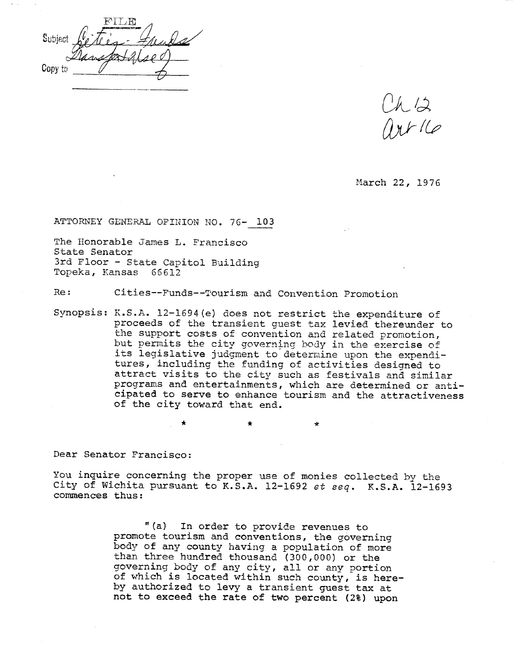Subject Copy to

IN 12<br>NUTILO

March 22, 1976

ATTORNEY GENERAL OPINION NO. 76- 103

The Honorable James L. Francisco State Senator 3rd Floor - State Capitol Building Topeka, Kansas 66612

Re: Cities--Funds--Tourism and Convention Promotion

Synopsis: K.S.A. 12-1694(e) does not restrict the expenditure of proceeds of the transient guest tax levied thereunder to the support costs of convention and related promotion, but permits the city governing body in the exercise of its legislative judgment to determine upon the expenditures, including the funding of activities designed to attract visits to the city such as festivals and similar programs and entertainments, which are determined or anticipated to serve to enhance tourism and the attractiveness of the city toward that end.

Dear Senator Francisco:

You inquire concerning the proper use of monies collected by the City of Wichita pursuant to K.S.A. 12-1692 et seq. K.S.A. 12-1693 commences thus:

> "(a) In order to provide revenues to promote tourism and conventions, the governing body of any county having a population of more than three hundred thousand (300,000) or the governing body of any city, all or any portion of which is located within such county, is hereby authorized to levy a transient guest tax at **not to exceed the rate of two percent** (2%) **upon**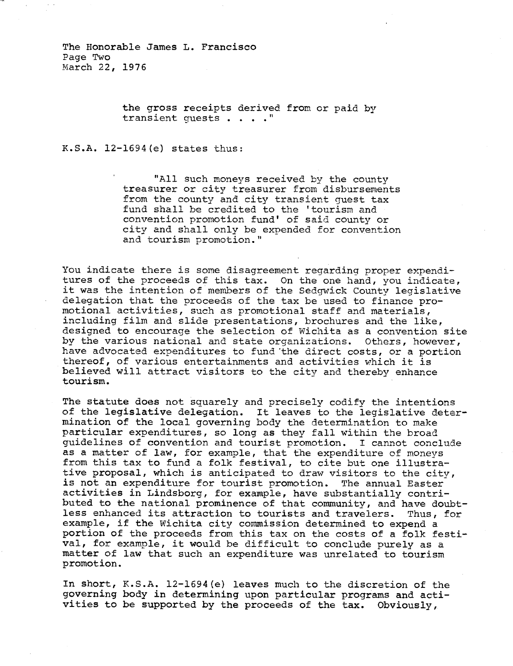The Honorable James L. Francisco Page Two March 22, 1976

> the gross receipts derived from or paid by transient guests . . . ."

K.S.A. 12-1694(e) states thus:

"All such moneys received by the county treasurer or city treasurer from disbursements from the county and city transient guest tax fund shall be credited to the 'tourism and convention promotion fund' of said county or city and shall only be expended for convention and tourism promotion."

You indicate there is some disagreement regarding proper expenditures of the proceeds of this tax. On the one hand, you indicate, it was the intention of members of the Sedgwick County legislative delegation that the proceeds of the tax be used to finance promotional activities, such as promotional staff and materials, including film and slide presentations, brochures and the like, designed to encourage the selection of Wichita as a convention site by the various national and state organizations. Others, however, have advocated expenditures to fund the direct costs, or a portion thereof, of various entertainments and activities which it is believed will attract visitors to the city and thereby enhance **tourism.** 

**The statute does not squarely** and precisely codify the intentions of the **legislative delegation. It leaves to the legislative** determination of **the local governing body** the determination to make particular expenditures, so long as they fall within the broad guidelines of convention and tourist promotion. I cannot conclude as a matter of law, for example, that the expenditure of moneys from this tax to fund a folk festival, to cite but one illustrative proposal, which is anticipated to draw visitors to the city, is not an expenditure for tourist promotion. The annual Easter activities in Lindsborg, for example, have substantially contributed to the national prominence of that community, and have doubtless enhanced its attraction to tourists and travelers. Thus, for example, if the Wichita city commission determined to expend a portion of the proceeds from this tax on the costs of a folk festival, for example, it would be difficult to conclude purely as a matter of law that such an expenditure was unrelated to tourism promotion.

In short, K.S.A. 12-1694(e) leaves much to the discretion of the governing body **in determining upon particular programs and activities to be supported by the proceeds of the tax. Obviously,**.